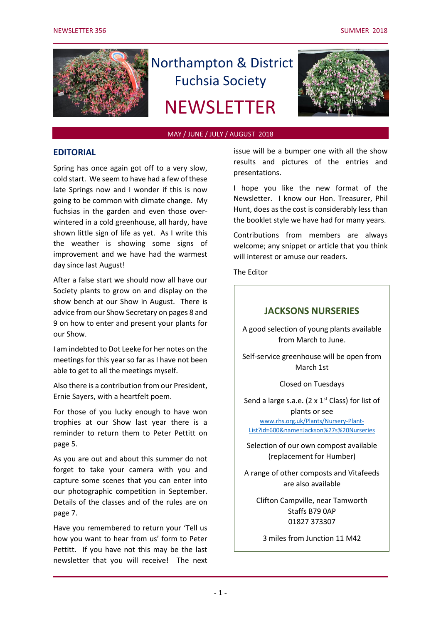

# Northampton & District Fuchsia Society

# **NEWSLETTER**



#### MAY / JUNE / JULY / AUGUST 2018

## **EDITORIAL**

Spring has once again got off to a very slow, cold start. We seem to have had a few of these late Springs now and I wonder if this is now going to be common with climate change. My fuchsias in the garden and even those overwintered in a cold greenhouse, all hardy, have shown little sign of life as yet. As I write this the weather is showing some signs of improvement and we have had the warmest day since last August!

After a false start we should now all have our Society plants to grow on and display on the show bench at our Show in August. There is advice from our Show Secretary on pages 8 and 9 on how to enter and present your plants for our Show.

I am indebted to Dot Leeke for her notes on the meetings for this year so far as I have not been able to get to all the meetings myself.

Also there is a contribution from our President, Ernie Sayers, with a heartfelt poem.

For those of you lucky enough to have won trophies at our Show last year there is a reminder to return them to Peter Pettitt on page 5.

As you are out and about this summer do not forget to take your camera with you and capture some scenes that you can enter into our photographic competition in September. Details of the classes and of the rules are on page 7.

Have you remembered to return your 'Tell us how you want to hear from us' form to Peter Pettitt. If you have not this may be the last newsletter that you will receive! The next issue will be a bumper one with all the show results and pictures of the entries and presentations.

I hope you like the new format of the Newsletter. I know our Hon. Treasurer, Phil Hunt, does as the cost is considerably less than the booklet style we have had for many years.

Contributions from members are always welcome; any snippet or article that you think will interest or amuse our readers.

The Editor

## **JACKSONS NURSERIES**

A good selection of young plants available from March to June.

Self-service greenhouse will be open from March 1st

Closed on Tuesdays

Send a large s.a.e. (2  $\times$  1<sup>st</sup> Class) for list of plants or see [www.rhs.org.uk/Plants/Nursery-Plant-](file:///C:/Users/Peter/Documents/NDFS/www.rhs.org.uk/Plants/Nursery-Plant-List%3fid=600&name=Jackson)

[List?id=600&name=Jackson%27s%20Nurseries](file:///C:/Users/Peter/Documents/NDFS/www.rhs.org.uk/Plants/Nursery-Plant-List%3fid=600&name=Jackson)

Selection of our own compost available (replacement for Humber)

A range of other composts and Vitafeeds are also available

Clifton Campville, near Tamworth Staffs B79 0AP 01827 373307

3 miles from Junction 11 M42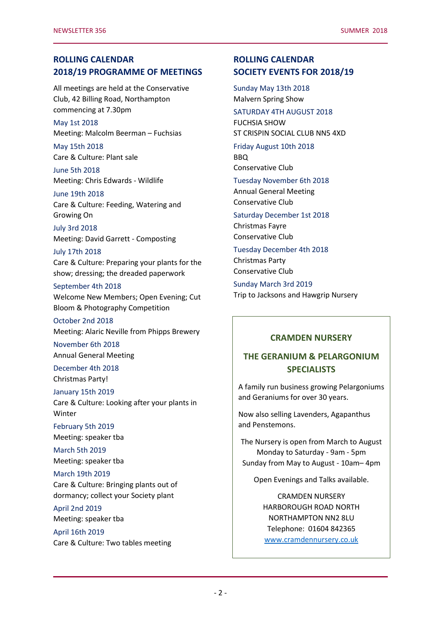# **ROLLING CALENDAR 2018/19 PROGRAMME OF MEETINGS**

All meetings are held at the Conservative Club, 42 Billing Road, Northampton commencing at 7.30pm

May 1st 2018 Meeting: Malcolm Beerman – Fuchsias

May 15th 2018 Care & Culture: Plant sale

June 5th 2018 Meeting: Chris Edwards - Wildlife

June 19th 2018 Care & Culture: Feeding, Watering and Growing On

## July 3rd 2018 Meeting: David Garrett - Composting

#### July 17th 2018

Care & Culture: Preparing your plants for the show; dressing; the dreaded paperwork

#### September 4th 2018

Welcome New Members; Open Evening; Cut Bloom & Photography Competition

October 2nd 2018 Meeting: Alaric Neville from Phipps Brewery

November 6th 2018 Annual General Meeting

December 4th 2018 Christmas Party!

#### January 15th 2019

Care & Culture: Looking after your plants in Winter

February 5th 2019 Meeting: speaker tba

March 5th 2019 Meeting: speaker tba

#### March 19th 2019

Care & Culture: Bringing plants out of dormancy; collect your Society plant

April 2nd 2019 Meeting: speaker tba

April 16th 2019 Care & Culture: Two tables meeting

# **ROLLING CALENDAR SOCIETY EVENTS FOR 2018/19**

Sunday May 13th 2018 Malvern Spring Show

## SATURDAY 4TH AUGUST 2018

FUCHSIA SHOW ST CRISPIN SOCIAL CLUB NN5 4XD

## Friday August 10th 2018 BBQ

Conservative Club

## Tuesday November 6th 2018 Annual General Meeting Conservative Club

## Saturday December 1st 2018 Christmas Fayre

Conservative Club

## Tuesday December 4th 2018 Christmas Party

Conservative Club

Sunday March 3rd 2019 Trip to Jacksons and Hawgrip Nursery

## **CRAMDEN NURSERY**

# **THE GERANIUM & PELARGONIUM SPECIALISTS**

A family run business growing Pelargoniums and Geraniums for over 30 years.

Now also selling Lavenders, Agapanthus and Penstemons.

The Nursery is open from March to August Monday to Saturday - 9am - 5pm Sunday from May to August - 10am– 4pm

Open Evenings and Talks available.

CRAMDEN NURSERY HARBOROUGH ROAD NORTH NORTHAMPTON NN2 8LU Telephone: 01604 842365 [www.cramdennursery.co.uk](http://www.cramdennursery.co.uk/)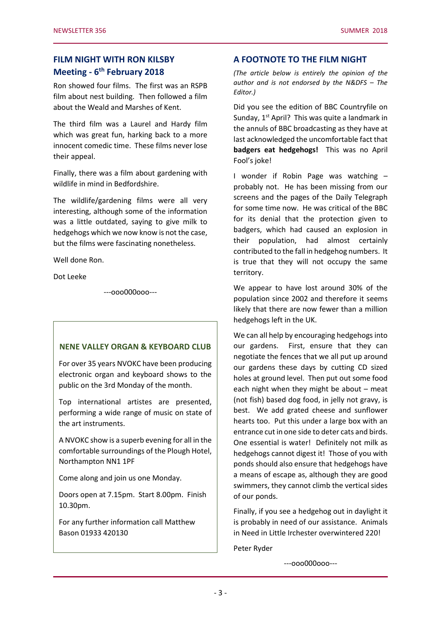# **FILM NIGHT WITH RON KILSBY Meeting - 6 th February 2018**

Ron showed four films. The first was an RSPB film about nest building. Then followed a film about the Weald and Marshes of Kent.

The third film was a Laurel and Hardy film which was great fun, harking back to a more innocent comedic time. These films never lose their appeal.

Finally, there was a film about gardening with wildlife in mind in Bedfordshire.

The wildlife/gardening films were all very interesting, although some of the information was a little outdated, saying to give milk to hedgehogs which we now know is not the case, but the films were fascinating nonetheless.

Well done Ron.

Dot Leeke

---ooo000ooo---

## **NENE VALLEY ORGAN & KEYBOARD CLUB**

For over 35 years NVOKC have been producing electronic organ and keyboard shows to the public on the 3rd Monday of the month.

Top international artistes are presented, performing a wide range of music on state of the art instruments.

A NVOKC show is a superb evening for all in the comfortable surroundings of the Plough Hotel, Northampton NN1 1PF

Come along and join us one Monday.

Doors open at 7.15pm. Start 8.00pm. Finish 10.30pm.

For any further information call Matthew Bason 01933 420130

## **A FOOTNOTE TO THE FILM NIGHT**

*(The article below is entirely the opinion of the author and is not endorsed by the N&DFS – The Editor.)*

Did you see the edition of BBC Countryfile on Sunday, 1<sup>st</sup> April? This was quite a landmark in the annuls of BBC broadcasting as they have at last acknowledged the uncomfortable fact that **badgers eat hedgehogs!** This was no April Fool's joke!

I wonder if Robin Page was watching – probably not. He has been missing from our screens and the pages of the Daily Telegraph for some time now. He was critical of the BBC for its denial that the protection given to badgers, which had caused an explosion in their population, had almost certainly contributed to the fall in hedgehog numbers. It is true that they will not occupy the same territory.

We appear to have lost around 30% of the population since 2002 and therefore it seems likely that there are now fewer than a million hedgehogs left in the UK.

We can all help by encouraging hedgehogs into our gardens. First, ensure that they can negotiate the fences that we all put up around our gardens these days by cutting CD sized holes at ground level. Then put out some food each night when they might be about – meat (not fish) based dog food, in jelly not gravy, is best. We add grated cheese and sunflower hearts too. Put this under a large box with an entrance cut in one side to deter cats and birds. One essential is water! Definitely not milk as hedgehogs cannot digest it! Those of you with ponds should also ensure that hedgehogs have a means of escape as, although they are good swimmers, they cannot climb the vertical sides of our ponds.

Finally, if you see a hedgehog out in daylight it is probably in need of our assistance. Animals in Need in Little Irchester overwintered 220!

Peter Ryder

---ooo000ooo---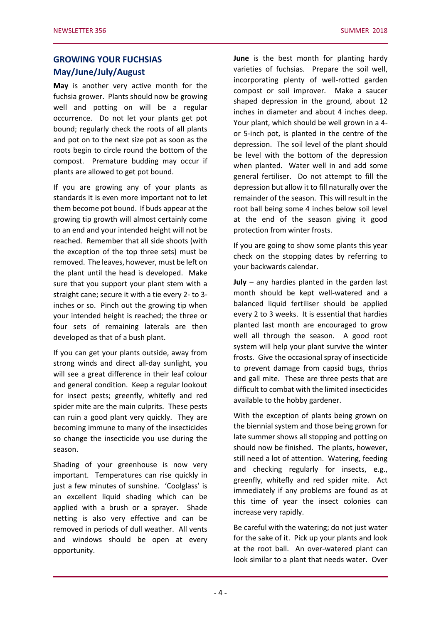# **GROWING YOUR FUCHSIAS May/June/July/August**

**May** is another very active month for the fuchsia grower. Plants should now be growing well and potting on will be a regular occurrence. Do not let your plants get pot bound; regularly check the roots of all plants and pot on to the next size pot as soon as the roots begin to circle round the bottom of the compost. Premature budding may occur if plants are allowed to get pot bound.

If you are growing any of your plants as standards it is even more important not to let them become pot bound. If buds appear at the growing tip growth will almost certainly come to an end and your intended height will not be reached. Remember that all side shoots (with the exception of the top three sets) must be removed. The leaves, however, must be left on the plant until the head is developed. Make sure that you support your plant stem with a straight cane; secure it with a tie every 2- to 3 inches or so. Pinch out the growing tip when your intended height is reached; the three or four sets of remaining laterals are then developed as that of a bush plant.

If you can get your plants outside, away from strong winds and direct all-day sunlight, you will see a great difference in their leaf colour and general condition. Keep a regular lookout for insect pests; greenfly, whitefly and red spider mite are the main culprits. These pests can ruin a good plant very quickly. They are becoming immune to many of the insecticides so change the insecticide you use during the season.

Shading of your greenhouse is now very important. Temperatures can rise quickly in just a few minutes of sunshine. 'Coolglass' is an excellent liquid shading which can be applied with a brush or a sprayer. Shade netting is also very effective and can be removed in periods of dull weather. All vents and windows should be open at every opportunity.

**June** is the best month for planting hardy varieties of fuchsias. Prepare the soil well, incorporating plenty of well-rotted garden compost or soil improver. Make a saucer shaped depression in the ground, about 12 inches in diameter and about 4 inches deep. Your plant, which should be well grown in a 4 or 5-inch pot, is planted in the centre of the depression. The soil level of the plant should be level with the bottom of the depression when planted. Water well in and add some general fertiliser. Do not attempt to fill the depression but allow it to fill naturally over the remainder of the season. This will result in the root ball being some 4 inches below soil level at the end of the season giving it good protection from winter frosts.

If you are going to show some plants this year check on the stopping dates by referring to your backwards calendar.

**July** – any hardies planted in the garden last month should be kept well-watered and a balanced liquid fertiliser should be applied every 2 to 3 weeks. It is essential that hardies planted last month are encouraged to grow well all through the season. A good root system will help your plant survive the winter frosts. Give the occasional spray of insecticide to prevent damage from capsid bugs, thrips and gall mite. These are three pests that are difficult to combat with the limited insecticides available to the hobby gardener.

With the exception of plants being grown on the biennial system and those being grown for late summer shows all stopping and potting on should now be finished. The plants, however, still need a lot of attention. Watering, feeding and checking regularly for insects, e.g., greenfly, whitefly and red spider mite. Act immediately if any problems are found as at this time of year the insect colonies can increase very rapidly.

Be careful with the watering; do not just water for the sake of it. Pick up your plants and look at the root ball. An over-watered plant can look similar to a plant that needs water. Over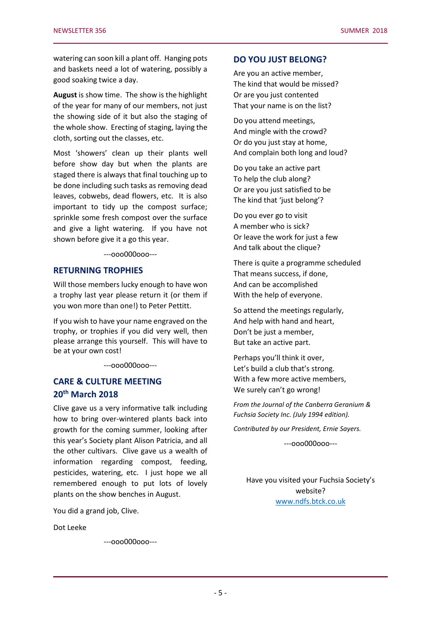watering can soon kill a plant off. Hanging pots and baskets need a lot of watering, possibly a good soaking twice a day.

**August** is show time. The show is the highlight of the year for many of our members, not just the showing side of it but also the staging of the whole show. Erecting of staging, laying the cloth, sorting out the classes, etc.

Most 'showers' clean up their plants well before show day but when the plants are staged there is always that final touching up to be done including such tasks as removing dead leaves, cobwebs, dead flowers, etc. It is also important to tidy up the compost surface; sprinkle some fresh compost over the surface and give a light watering. If you have not shown before give it a go this year.

---ooo000ooo---

## **RETURNING TROPHIES**

Will those members lucky enough to have won a trophy last year please return it (or them if you won more than one!) to Peter Pettitt.

If you wish to have your name engraved on the trophy, or trophies if you did very well, then please arrange this yourself. This will have to be at your own cost!

---ooo000ooo---

# **CARE & CULTURE MEETING 20th March 2018**

Clive gave us a very informative talk including how to bring over-wintered plants back into growth for the coming summer, looking after this year's Society plant Alison Patricia, and all the other cultivars. Clive gave us a wealth of information regarding compost, feeding, pesticides, watering, etc. I just hope we all remembered enough to put lots of lovely plants on the show benches in August.

You did a grand job, Clive.

Dot Leeke

---ooo000ooo---

#### **DO YOU JUST BELONG?**

Are you an active member, The kind that would be missed? Or are you just contented That your name is on the list?

Do you attend meetings, And mingle with the crowd? Or do you just stay at home, And complain both long and loud?

Do you take an active part To help the club along? Or are you just satisfied to be The kind that 'just belong'?

Do you ever go to visit A member who is sick? Or leave the work for just a few And talk about the clique?

There is quite a programme scheduled That means success, if done, And can be accomplished With the help of everyone.

So attend the meetings regularly, And help with hand and heart, Don't be just a member, But take an active part.

Perhaps you'll think it over, Let's build a club that's strong. With a few more active members, We surely can't go wrong!

*From the Journal of the Canberra Geranium & Fuchsia Society Inc. (July 1994 edition).*

*Contributed by our President, Ernie Sayers.*

---ooo000ooo---

Have you visited your Fuchsia Society's website? [www.ndfs.btck.co.uk](http://www.ndfs.btck.co.uk/)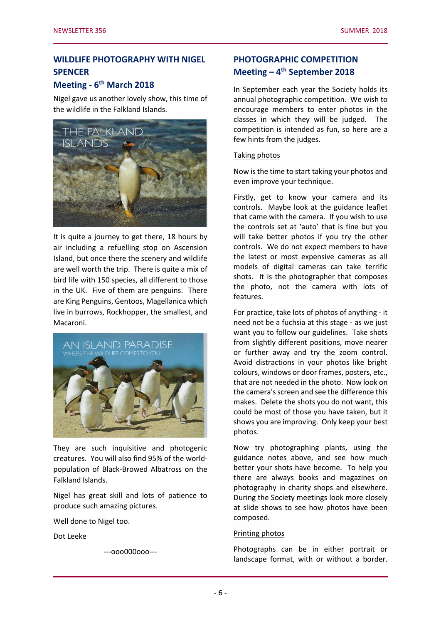# **WILDLIFE PHOTOGRAPHY WITH NIGEL SPENCER**

# **Meeting - 6 th March 2018**

Nigel gave us another lovely show, this time of the wildlife in the Falkland Islands.



It is quite a journey to get there, 18 hours by air including a refuelling stop on Ascension Island, but once there the scenery and wildlife are well worth the trip. There is quite a mix of bird life with 150 species, all different to those in the UK. Five of them are penguins. There are King Penguins, Gentoos, Magellanica which live in burrows, Rockhopper, the smallest, and Macaroni.



They are such inquisitive and photogenic creatures. You will also find 95% of the worldpopulation of Black-Browed Albatross on the Falkland Islands.

Nigel has great skill and lots of patience to produce such amazing pictures.

Well done to Nigel too.

Dot Leeke

---ooo000ooo---

# **PHOTOGRAPHIC COMPETITION Meeting – 4 th September 2018**

In September each year the Society holds its annual photographic competition. We wish to encourage members to enter photos in the classes in which they will be judged. The competition is intended as fun, so here are a few hints from the judges.

#### Taking photos

Now is the time to start taking your photos and even improve your technique.

Firstly, get to know your camera and its controls. Maybe look at the guidance leaflet that came with the camera. If you wish to use the controls set at 'auto' that is fine but you will take better photos if you try the other controls. We do not expect members to have the latest or most expensive cameras as all models of digital cameras can take terrific shots. It is the photographer that composes the photo, not the camera with lots of features.

For practice, take lots of photos of anything - it need not be a fuchsia at this stage - as we just want you to follow our guidelines. Take shots from slightly different positions, move nearer or further away and try the zoom control. Avoid distractions in your photos like bright colours, windows or door frames, posters, etc., that are not needed in the photo. Now look on the camera's screen and see the difference this makes. Delete the shots you do not want, this could be most of those you have taken, but it shows you are improving. Only keep your best photos.

Now try photographing plants, using the guidance notes above, and see how much better your shots have become. To help you there are always books and magazines on photography in charity shops and elsewhere. During the Society meetings look more closely at slide shows to see how photos have been composed.

## Printing photos

Photographs can be in either portrait or landscape format, with or without a border.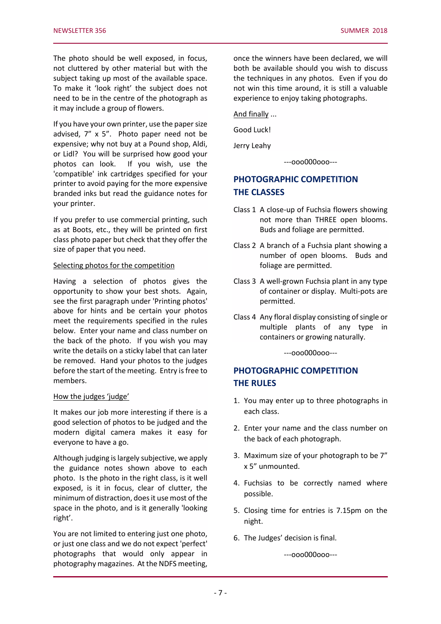The photo should be well exposed, in focus, not cluttered by other material but with the subject taking up most of the available space. To make it 'look right' the subject does not need to be in the centre of the photograph as it may include a group of flowers.

If you have your own printer, use the paper size advised, 7" x 5". Photo paper need not be expensive; why not buy at a Pound shop, Aldi, or Lidl? You will be surprised how good your photos can look. If you wish, use the 'compatible' ink cartridges specified for your printer to avoid paying for the more expensive branded inks but read the guidance notes for your printer.

If you prefer to use commercial printing, such as at Boots, etc., they will be printed on first class photo paper but check that they offer the size of paper that you need.

#### Selecting photos for the competition

Having a selection of photos gives the opportunity to show your best shots. Again, see the first paragraph under 'Printing photos' above for hints and be certain your photos meet the requirements specified in the rules below. Enter your name and class number on the back of the photo. If you wish you may write the details on a sticky label that can later be removed. Hand your photos to the judges before the start of the meeting. Entry is free to members.

#### How the judges 'judge'

It makes our job more interesting if there is a good selection of photos to be judged and the modern digital camera makes it easy for everyone to have a go.

Although judging is largely subjective, we apply the guidance notes shown above to each photo. Is the photo in the right class, is it well exposed, is it in focus, clear of clutter, the minimum of distraction, does it use most of the space in the photo, and is it generally 'looking right'.

You are not limited to entering just one photo, or just one class and we do not expect 'perfect' photographs that would only appear in photography magazines. At the NDFS meeting,

once the winners have been declared, we will both be available should you wish to discuss the techniques in any photos. Even if you do not win this time around, it is still a valuable experience to enjoy taking photographs.

And finally ...

Good Luck!

Jerry Leahy

---ooo000ooo---

## **PHOTOGRAPHIC COMPETITION THE CLASSES**

- Class 1 A close-up of Fuchsia flowers showing not more than THREE open blooms. Buds and foliage are permitted.
- Class 2 A branch of a Fuchsia plant showing a number of open blooms. Buds and foliage are permitted.
- Class 3 A well-grown Fuchsia plant in any type of container or display. Multi-pots are permitted.
- Class 4 Any floral display consisting of single or multiple plants of any type in containers or growing naturally.

---ooo000ooo---

# **PHOTOGRAPHIC COMPETITION THE RULES**

- 1. You may enter up to three photographs in each class.
- 2. Enter your name and the class number on the back of each photograph.
- 3. Maximum size of your photograph to be 7" x 5" unmounted.
- 4. Fuchsias to be correctly named where possible.
- 5. Closing time for entries is 7.15pm on the night.
- 6. The Judges' decision is final.

---ooo000ooo---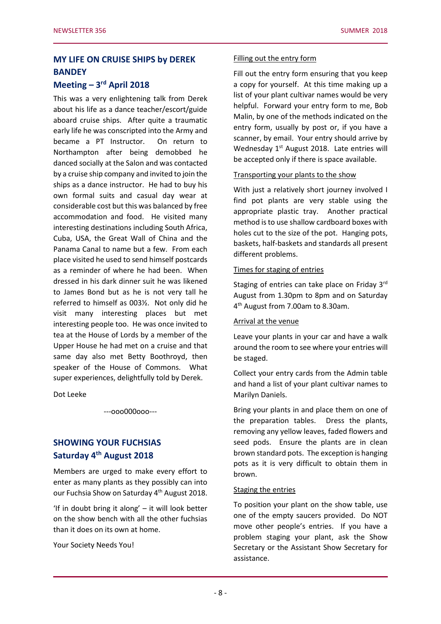# **MY LIFE ON CRUISE SHIPS by DEREK BANDEY**

# **Meeting – 3 rd April 2018**

This was a very enlightening talk from Derek about his life as a dance teacher/escort/guide aboard cruise ships. After quite a traumatic early life he was conscripted into the Army and became a PT Instructor. On return to Northampton after being demobbed he danced socially at the Salon and was contacted by a cruise ship company and invited to join the ships as a dance instructor. He had to buy his own formal suits and casual day wear at considerable cost but this was balanced by free accommodation and food. He visited many interesting destinations including South Africa, Cuba, USA, the Great Wall of China and the Panama Canal to name but a few. From each place visited he used to send himself postcards as a reminder of where he had been. When dressed in his dark dinner suit he was likened to James Bond but as he is not very tall he referred to himself as 003½. Not only did he visit many interesting places but met interesting people too. He was once invited to tea at the House of Lords by a member of the Upper House he had met on a cruise and that same day also met Betty Boothroyd, then speaker of the House of Commons. What super experiences, delightfully told by Derek.

Dot Leeke

---ooo000ooo---

# **SHOWING YOUR FUCHSIAS Saturday 4 th August 2018**

Members are urged to make every effort to enter as many plants as they possibly can into our Fuchsia Show on Saturday 4<sup>th</sup> August 2018.

'If in doubt bring it along' – it will look better on the show bench with all the other fuchsias than it does on its own at home.

Your Society Needs You!

#### Filling out the entry form

Fill out the entry form ensuring that you keep a copy for yourself. At this time making up a list of your plant cultivar names would be very helpful. Forward your entry form to me, Bob Malin, by one of the methods indicated on the entry form, usually by post or, if you have a scanner, by email. Your entry should arrive by Wednesday  $1<sup>st</sup>$  August 2018. Late entries will be accepted only if there is space available.

## Transporting your plants to the show

With just a relatively short journey involved I find pot plants are very stable using the appropriate plastic tray. Another practical method is to use shallow cardboard boxes with holes cut to the size of the pot. Hanging pots, baskets, half-baskets and standards all present different problems.

## Times for staging of entries

Staging of entries can take place on Friday 3rd August from 1.30pm to 8pm and on Saturday 4 th August from 7.00am to 8.30am.

## Arrival at the venue

Leave your plants in your car and have a walk around the room to see where your entries will be staged.

Collect your entry cards from the Admin table and hand a list of your plant cultivar names to Marilyn Daniels.

Bring your plants in and place them on one of the preparation tables. Dress the plants, removing any yellow leaves, faded flowers and seed pods. Ensure the plants are in clean brown standard pots. The exception is hanging pots as it is very difficult to obtain them in brown.

## Staging the entries

To position your plant on the show table, use one of the empty saucers provided. Do NOT move other people's entries. If you have a problem staging your plant, ask the Show Secretary or the Assistant Show Secretary for assistance.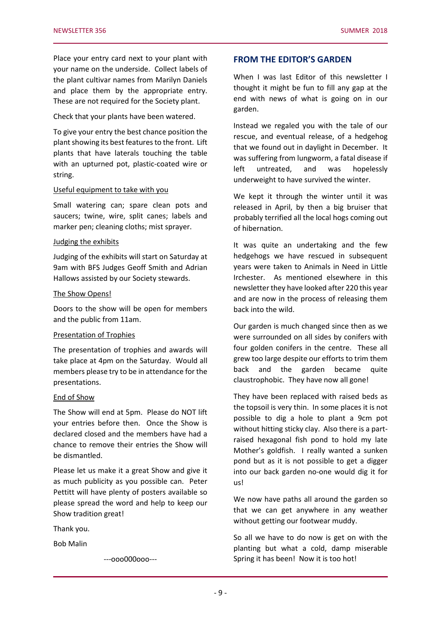Place your entry card next to your plant with your name on the underside. Collect labels of the plant cultivar names from Marilyn Daniels and place them by the appropriate entry. These are not required for the Society plant.

Check that your plants have been watered.

To give your entry the best chance position the plant showing its best features to the front. Lift plants that have laterals touching the table with an upturned pot, plastic-coated wire or string.

#### Useful equipment to take with you

Small watering can; spare clean pots and saucers; twine, wire, split canes; labels and marker pen; cleaning cloths; mist sprayer.

#### Judging the exhibits

Judging of the exhibits will start on Saturday at 9am with BFS Judges Geoff Smith and Adrian Hallows assisted by our Society stewards.

#### The Show Opens!

Doors to the show will be open for members and the public from 11am.

#### Presentation of Trophies

The presentation of trophies and awards will take place at 4pm on the Saturday. Would all members please try to be in attendance for the presentations.

#### End of Show

The Show will end at 5pm. Please do NOT lift your entries before then. Once the Show is declared closed and the members have had a chance to remove their entries the Show will be dismantled.

Please let us make it a great Show and give it as much publicity as you possible can. Peter Pettitt will have plenty of posters available so please spread the word and help to keep our Show tradition great!

Thank you.

Bob Malin

---ooo000ooo---

## **FROM THE EDITOR'S GARDEN**

When I was last Editor of this newsletter I thought it might be fun to fill any gap at the end with news of what is going on in our garden.

Instead we regaled you with the tale of our rescue, and eventual release, of a hedgehog that we found out in daylight in December. It was suffering from lungworm, a fatal disease if left untreated, and was hopelessly underweight to have survived the winter.

We kept it through the winter until it was released in April, by then a big bruiser that probably terrified all the local hogs coming out of hibernation.

It was quite an undertaking and the few hedgehogs we have rescued in subsequent years were taken to Animals in Need in Little Irchester. As mentioned elsewhere in this newsletter they have looked after 220 this year and are now in the process of releasing them back into the wild.

Our garden is much changed since then as we were surrounded on all sides by conifers with four golden conifers in the centre. These all grew too large despite our efforts to trim them back and the garden became quite claustrophobic. They have now all gone!

They have been replaced with raised beds as the topsoil is very thin. In some places it is not possible to dig a hole to plant a 9cm pot without hitting sticky clay. Also there is a partraised hexagonal fish pond to hold my late Mother's goldfish. I really wanted a sunken pond but as it is not possible to get a digger into our back garden no-one would dig it for us!

We now have paths all around the garden so that we can get anywhere in any weather without getting our footwear muddy.

So all we have to do now is get on with the planting but what a cold, damp miserable Spring it has been! Now it is too hot!